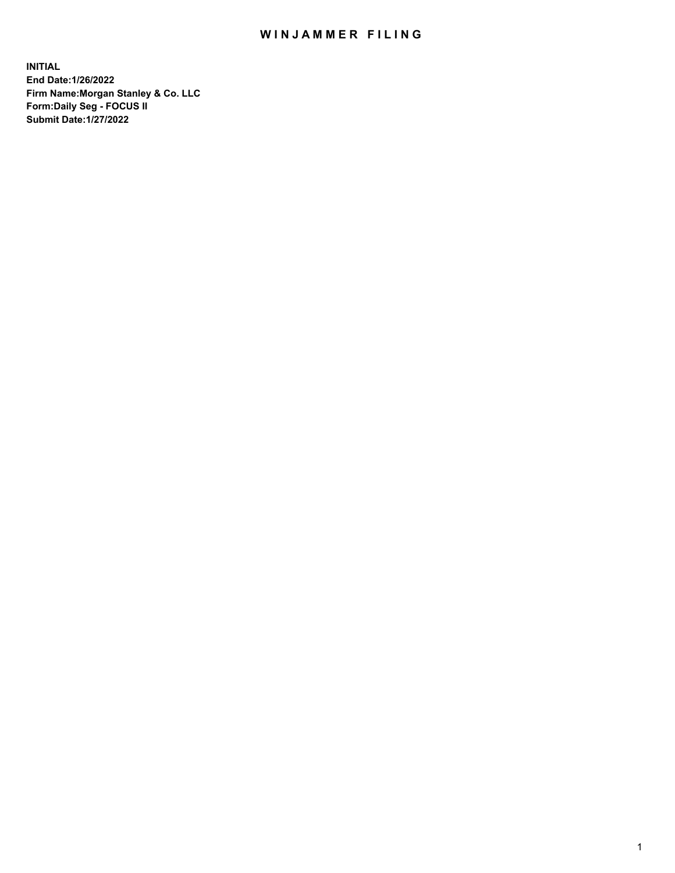## WIN JAMMER FILING

**INITIAL End Date:1/26/2022 Firm Name:Morgan Stanley & Co. LLC Form:Daily Seg - FOCUS II Submit Date:1/27/2022**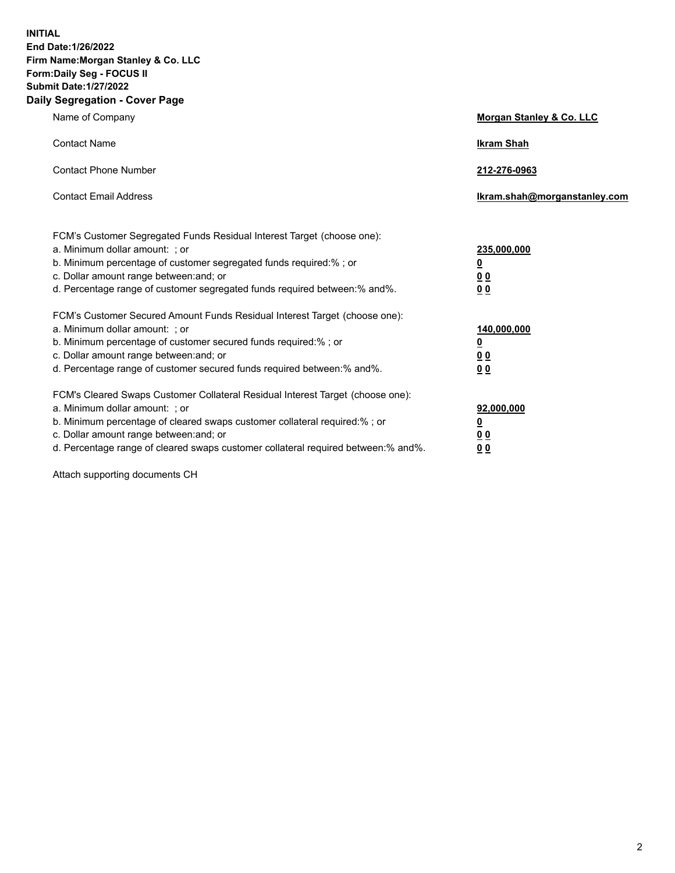**INITIAL End Date:1/26/2022 Firm Name:Morgan Stanley & Co. LLC Form:Daily Seg - FOCUS II Submit Date:1/27/2022 Daily Segregation - Cover Page**

| Name of Company                                                                                                                                                                                                                                                                                                                | Morgan Stanley & Co. LLC                                    |
|--------------------------------------------------------------------------------------------------------------------------------------------------------------------------------------------------------------------------------------------------------------------------------------------------------------------------------|-------------------------------------------------------------|
| <b>Contact Name</b>                                                                                                                                                                                                                                                                                                            | <b>Ikram Shah</b>                                           |
| <b>Contact Phone Number</b>                                                                                                                                                                                                                                                                                                    | 212-276-0963                                                |
| <b>Contact Email Address</b>                                                                                                                                                                                                                                                                                                   | lkram.shah@morganstanley.com                                |
| FCM's Customer Segregated Funds Residual Interest Target (choose one):<br>a. Minimum dollar amount: ; or<br>b. Minimum percentage of customer segregated funds required:% ; or<br>c. Dollar amount range between: and; or<br>d. Percentage range of customer segregated funds required between:% and%.                         | 235,000,000<br><u>0</u><br>0 <sup>0</sup><br>00             |
| FCM's Customer Secured Amount Funds Residual Interest Target (choose one):<br>a. Minimum dollar amount: : or<br>b. Minimum percentage of customer secured funds required:%; or<br>c. Dollar amount range between: and; or<br>d. Percentage range of customer secured funds required between: % and %.                          | 140,000,000<br><u>0</u><br>0 <sub>0</sub><br>0 <sub>0</sub> |
| FCM's Cleared Swaps Customer Collateral Residual Interest Target (choose one):<br>a. Minimum dollar amount: ; or<br>b. Minimum percentage of cleared swaps customer collateral required:% ; or<br>c. Dollar amount range between: and; or<br>d. Percentage range of cleared swaps customer collateral required between:% and%. | 92,000,000<br><u>0</u><br><u>00</u><br>00                   |

Attach supporting documents CH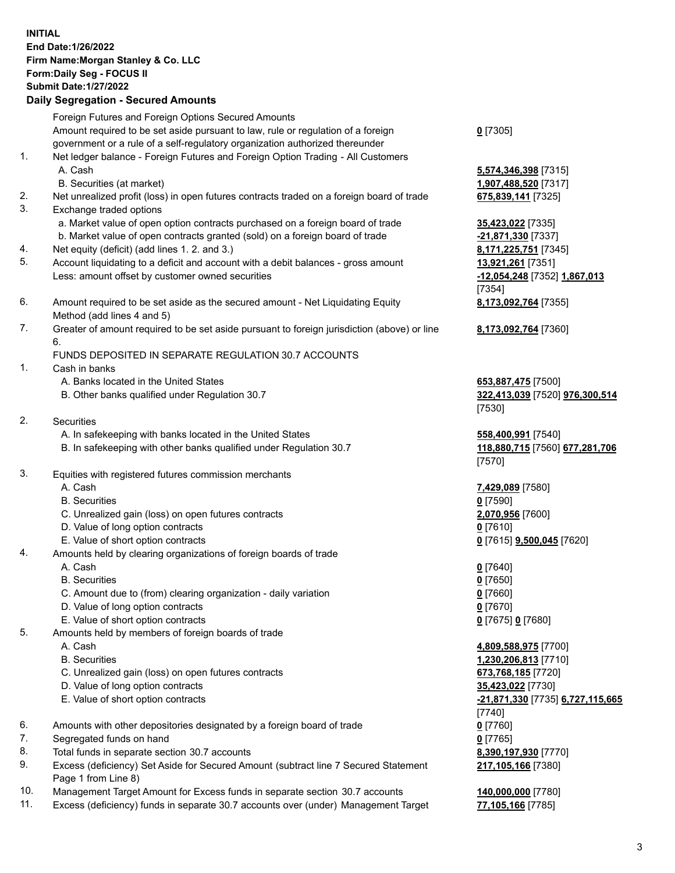## **INITIAL End Date:1/26/2022 Firm Name:Morgan Stanley & Co. LLC Form:Daily Seg - FOCUS II Submit Date:1/27/2022 Daily Segregation - Secured Amounts** Foreign Futures and Foreign Options Secured Amounts Amount required to be set aside pursuant to law, rule or regulation of a foreign government or a rule of a self-regulatory organization authorized thereunder 1. Net ledger balance - Foreign Futures and Foreign Option Trading - All Customers A. Cash **5,574,346,398** [7315] B. Securities (at market) **1,907,488,520** [7317] 2. Net unrealized profit (loss) in open futures contracts traded on a foreign board of trade **675,839,141** [7325] 3. Exchange traded options a. Market value of open option contracts purchased on a foreign board of trade **35,423,022** [7335] b. Market value of open contracts granted (sold) on a foreign board of trade **-21,871,330** [7337] 4. Net equity (deficit) (add lines 1. 2. and 3.) **8,171,225,751** [7345] 5. Account liquidating to a deficit and account with a debit balances - gross amount **13,921,261** [7351] Less: amount offset by customer owned securities **-12,054,248** [7352] **1,867,013** 6. Amount required to be set aside as the secured amount - Net Liquidating Equity

Method (add lines 4 and 5) 7. Greater of amount required to be set aside pursuant to foreign jurisdiction (above) or line 6.

## FUNDS DEPOSITED IN SEPARATE REGULATION 30.7 ACCOUNTS

- 1. Cash in banks
	- A. Banks located in the United States **653,887,475** [7500]
	- B. Other banks qualified under Regulation 30.7 **322,413,039** [7520] **976,300,514**
- 2. Securities
	- A. In safekeeping with banks located in the United States **558,400,991** [7540]
	- B. In safekeeping with other banks qualified under Regulation 30.7 **118,880,715** [7560] **677,281,706**
- 3. Equities with registered futures commission merchants
	-
	- B. Securities **0** [7590]
	- C. Unrealized gain (loss) on open futures contracts **2,070,956** [7600]
	- D. Value of long option contracts **0** [7610]
	- E. Value of short option contracts **0** [7615] **9,500,045** [7620]
- 4. Amounts held by clearing organizations of foreign boards of trade
	-
	- B. Securities **0** [7650]
	- C. Amount due to (from) clearing organization daily variation **0** [7660]
	- D. Value of long option contracts **0** [7670]
	- E. Value of short option contracts **0** [7675] **0** [7680]
- 5. Amounts held by members of foreign boards of trade
	-
	-
	- C. Unrealized gain (loss) on open futures contracts **673,768,185** [7720]
	- D. Value of long option contracts **35,423,022** [7730]
	-
- 6. Amounts with other depositories designated by a foreign board of trade **0** [7760]
- 7. Segregated funds on hand **0** [7765]
- 8. Total funds in separate section 30.7 accounts **8,390,197,930** [7770]
- 9. Excess (deficiency) Set Aside for Secured Amount (subtract line 7 Secured Statement Page 1 from Line 8)
- 10. Management Target Amount for Excess funds in separate section 30.7 accounts **140,000,000** [7780]
- 11. Excess (deficiency) funds in separate 30.7 accounts over (under) Management Target **77,105,166** [7785]

**0** [7305]

[7354] **8,173,092,764** [7355]

**8,173,092,764** [7360]

[7530]

[7570]

A. Cash **7,429,089** [7580]

A. Cash **0** [7640]

 A. Cash **4,809,588,975** [7700] B. Securities **1,230,206,813** [7710] E. Value of short option contracts **-21,871,330** [7735] **6,727,115,665** [7740] **217,105,166** [7380]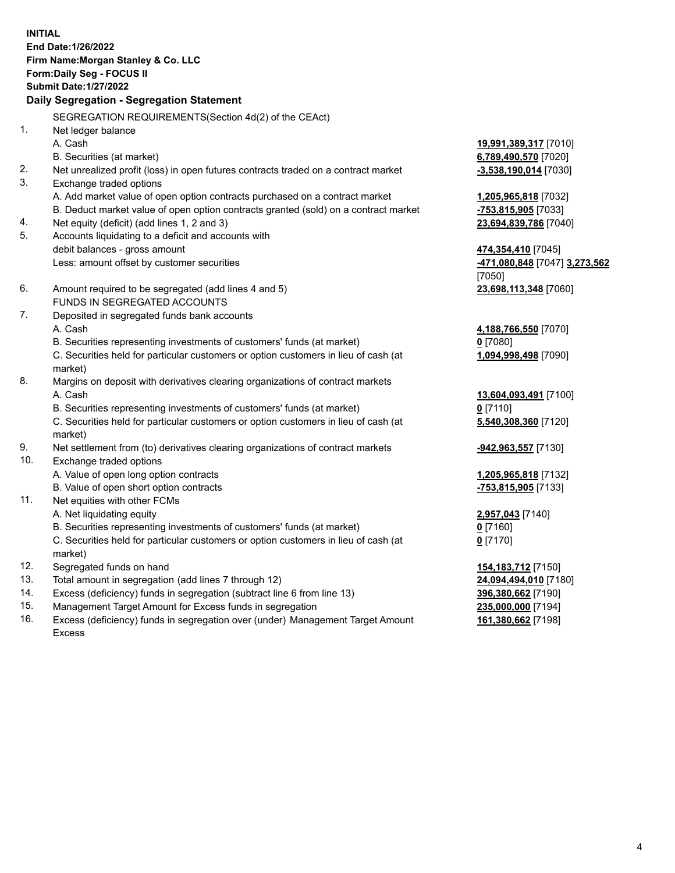**INITIAL End Date:1/26/2022 Firm Name:Morgan Stanley & Co. LLC Form:Daily Seg - FOCUS II Submit Date:1/27/2022 Daily Segregation - Segregation Statement** SEGREGATION REQUIREMENTS(Section 4d(2) of the CEAct) 1. Net ledger balance A. Cash **19,991,389,317** [7010] B. Securities (at market) **6,789,490,570** [7020] 2. Net unrealized profit (loss) in open futures contracts traded on a contract market **-3,538,190,014** [7030] 3. Exchange traded options A. Add market value of open option contracts purchased on a contract market **1,205,965,818** [7032] B. Deduct market value of open option contracts granted (sold) on a contract market **-753,815,905** [7033] 4. Net equity (deficit) (add lines 1, 2 and 3) **23,694,839,786** [7040] 5. Accounts liquidating to a deficit and accounts with debit balances - gross amount **474,354,410** [7045] Less: amount offset by customer securities **-471,080,848** [7047] **3,273,562** [7050] 6. Amount required to be segregated (add lines 4 and 5) **23,698,113,348** [7060] FUNDS IN SEGREGATED ACCOUNTS 7. Deposited in segregated funds bank accounts A. Cash **4,188,766,550** [7070] B. Securities representing investments of customers' funds (at market) **0** [7080] C. Securities held for particular customers or option customers in lieu of cash (at market) **1,094,998,498** [7090] 8. Margins on deposit with derivatives clearing organizations of contract markets A. Cash **13,604,093,491** [7100] B. Securities representing investments of customers' funds (at market) **0** [7110] C. Securities held for particular customers or option customers in lieu of cash (at market) **5,540,308,360** [7120] 9. Net settlement from (to) derivatives clearing organizations of contract markets **-942,963,557** [7130] 10. Exchange traded options A. Value of open long option contracts **1,205,965,818** [7132] B. Value of open short option contracts **-753,815,905** [7133] 11. Net equities with other FCMs A. Net liquidating equity **2,957,043** [7140] B. Securities representing investments of customers' funds (at market) **0** [7160] C. Securities held for particular customers or option customers in lieu of cash (at market) **0** [7170] 12. Segregated funds on hand **154,183,712** [7150] 13. Total amount in segregation (add lines 7 through 12) **24,094,494,010** [7180] 14. Excess (deficiency) funds in segregation (subtract line 6 from line 13) **396,380,662** [7190] 15. Management Target Amount for Excess funds in segregation **235,000,000** [7194]

- 
- 16. Excess (deficiency) funds in segregation over (under) Management Target Amount Excess

**161,380,662** [7198]